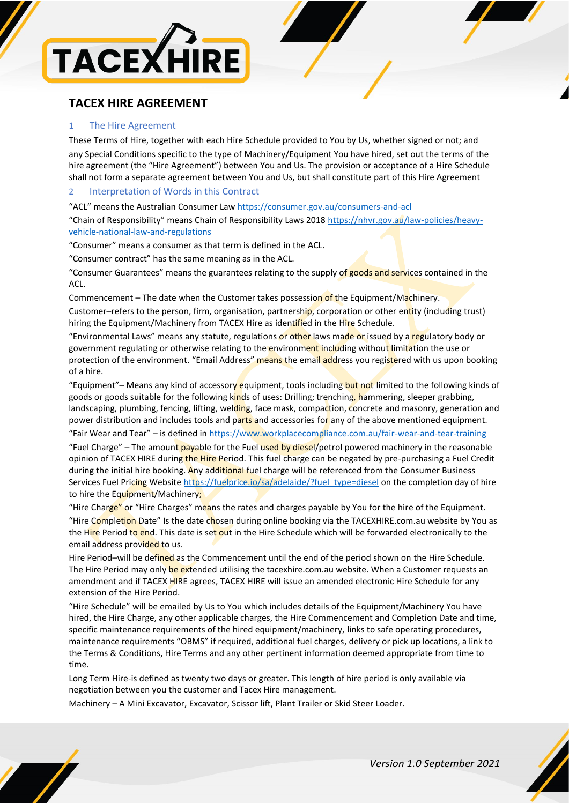

# **TACEX HIRE AGREEMENT**

# 1 The Hire Agreement

These Terms of Hire, together with each Hire Schedule provided to You by Us, whether signed or not; and any Special Conditions specific to the type of Machinery/Equipment You have hired, set out the terms of the hire agreement (the "Hire Agreement") between You and Us. The provision or acceptance of a Hire Schedule shall not form a separate agreement between You and Us, but shall constitute part of this Hire Agreement

# 2 Interpretation of Words in this Contract

"ACL" means the Australian Consumer Law <https://consumer.gov.au/consumers-and-acl>

"Chain of Responsibility" means Chain of Responsibility Laws 2018 [https://nhvr.gov.au/law-policies/heavy](https://nhvr.gov.au/law-policies/heavy-vehicle-national-law-and-regulations)[vehicle-national-law-and-regulations](https://nhvr.gov.au/law-policies/heavy-vehicle-national-law-and-regulations)

"Consumer" means a consumer as that term is defined in the ACL.

"Consumer contract" has the same meaning as in the ACL.

"Consumer Guarantees" means the guarantees relating to the supply of goods and services contained in the ACL.

Commencement – The date when the Customer takes possession of the Equipment/Machinery.

Customer–refers to the person, firm, organisation, partnership, corporation or other entity (including trust) hiring the Equipment/Machinery from TACEX Hire as identified in the Hire Schedule.

"Environmental Laws" means any statute, regulations or other laws made or issued by a regulatory body or government regulating or otherwise relating to the environment including without limitation the use or protection of the environment. "Email Address" means the email address you registered with us upon booking of a hire.

"Equipment"– Means any kind of accessory equipment, tools including but not limited to the following kinds of goods or goods suitable for the following kinds of uses: Drilling; trenching, hammering, sleeper grabbing, landscaping, plumbing, fencing, lifting, welding, face mask, compaction, concrete and masonry, generation and power distribution and includes tools and parts and accessories for any of the above mentioned equipment.

"Fair Wear and Tear" – is defined in<https://www.workplacecompliance.com.au/fair-wear-and-tear-training>

"Fuel Charge" – The amount payable for the Fuel used by diesel/petrol powered machinery in the reasonable opinion of TACEX HIRE during the Hire Period. This fuel charge can be negated by pre-purchasing a Fuel Credit during the initial hire booking. Any additional fuel charge will be referenced from the Consumer Business Services Fuel Pricing Website [https://fuelprice.io/sa/adelaide/?fuel\\_type=diesel](https://fuelprice.io/sa/adelaide/?fuel_type=diesel) on the completion day of hire to hire the Equipment/Machinery;

"Hire Charge" or "Hire Charges" means the rates and charges payable by You for the hire of the Equipment. "Hire Completion Date" Is the date chosen during online booking via the TACEXHIRE.com.au website by You as the Hire Period to end. This date is set out in the Hire Schedule which will be forwarded electronically to the email address provided to us.

Hire Period–will be defined as the Commencement until the end of the period shown on the Hire Schedule. The Hire Period may only be extended utilising the tacexhire.com.au website. When a Customer requests an amendment and if TACEX HIRE agrees, TACEX HIRE will issue an amended electronic Hire Schedule for any extension of the Hire Period.

"Hire Schedule" will be emailed by Us to You which includes details of the Equipment/Machinery You have hired, the Hire Charge, any other applicable charges, the Hire Commencement and Completion Date and time, specific maintenance requirements of the hired equipment/machinery, links to safe operating procedures, maintenance requirements "OBMS" if required, additional fuel charges, delivery or pick up locations, a link to the Terms & Conditions, Hire Terms and any other pertinent information deemed appropriate from time to time.

Long Term Hire-is defined as twenty two days or greater. This length of hire period is only available via negotiation between you the customer and Tacex Hire management.

Machinery – A Mini Excavator, Excavator, Scissor lift, Plant Trailer or Skid Steer Loader.



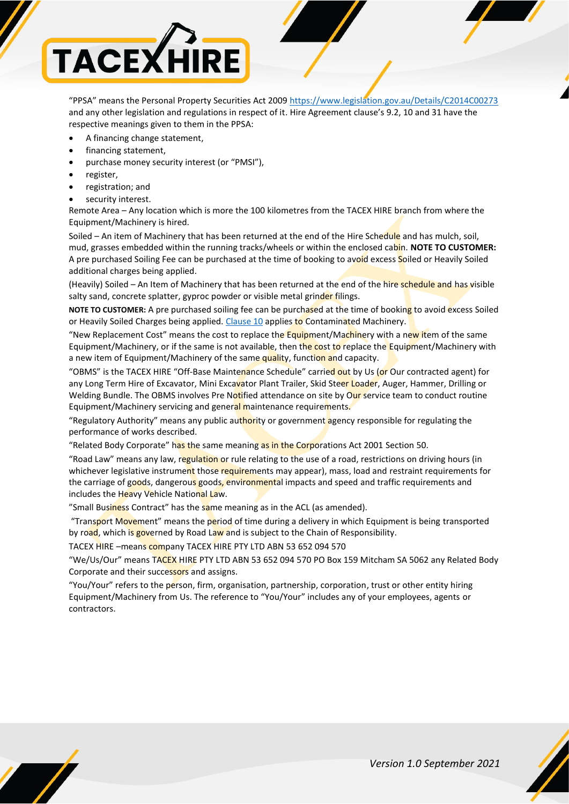

"PPSA" means the Personal Property Securities Act 2009 <https://www.legislation.gov.au/Details/C2014C00273> and any other legislation and regulations in respect of it. Hire Agreement clause's 9.2, 10 and 31 have the respective meanings given to them in the PPSA:

- A financing change statement,
- financing statement,
- purchase money security interest (or "PMSI"),
- register,
- registration; and
- security interest.

Remote Area – Any location which is more the 100 kilometres from the TACEX HIRE branch from where the Equipment/Machinery is hired.

Soiled – An item of Machinery that has been returned at the end of the Hire Schedule and has mulch, soil, mud, grasses embedded within the running tracks/wheels or within the enclosed cabin. **NOTE TO CUSTOMER:** A pre purchased Soiling Fee can be purchased at the time of booking to avoid excess Soiled or Heavily Soiled additional charges being applied.

(Heavily) Soiled – An Item of Machinery that has been returned at the end of the hire schedule and has visible salty sand, concrete splatter, gyproc powder or visible metal grinder filings.

**NOTE TO CUSTOMER:** A pre purchased soiling fee can be purchased at the time of booking to avoid excess Soiled or Heavily Soiled Charges being applied. [Clause 10](#page-7-0) applies to Contaminated Machinery.

"New Replacement Cost" means the cost to replace the Equipment/Machinery with a new item of the same Equipment/Machinery, or if the same is not available, then the cost to replace the Equipment/Machinery with a new item of Equipment/Machinery of the same quality, function and capacity.

"OBMS" is the TACEX HIRE "Off-Base Maintenance Schedule" carried out by Us (or Our contracted agent) for any Long Term Hire of Excavator, Mini Excavator Plant Trailer, Skid Steer Loader, Auger, Hammer, Drilling or Welding Bundle. The OBMS involves Pre Notified attendance on site by Our service team to conduct routine Equipment/Machinery servicing and general maintenance requirements.

"Regulatory Authority" means any public authority or government agency responsible for regulating the performance of works described.

"Related Body Corporate" has the same meaning as in the Corporations Act 2001 Section 50.

"Road Law" means any law, regulation or rule relating to the use of a road, restrictions on driving hours (in whichever legislative instrument those requirements may appear), mass, load and restraint requirements for the carriage of goods, dangerous goods, environmental impacts and speed and traffic requirements and includes the Heavy Vehicle National Law.

"Small Business Contract" has the same meaning as in the ACL (as amended).

"Transport Movement" means the period of time during a delivery in which Equipment is being transported by road, which is governed by Road Law and is subject to the Chain of Responsibility.

TACEX HIRE –means company TACEX HIRE PTY LTD ABN 53 652 094 570

"We/Us/Our" means TACEX HIRE PTY LTD ABN 53 652 094 570 PO Box 159 Mitcham SA 5062 any Related Body Corporate and their successors and assigns.

"You/Your" refers to the person, firm, organisation, partnership, corporation, trust or other entity hiring Equipment/Machinery from Us. The reference to "You/Your" includes any of your employees, agents or contractors.

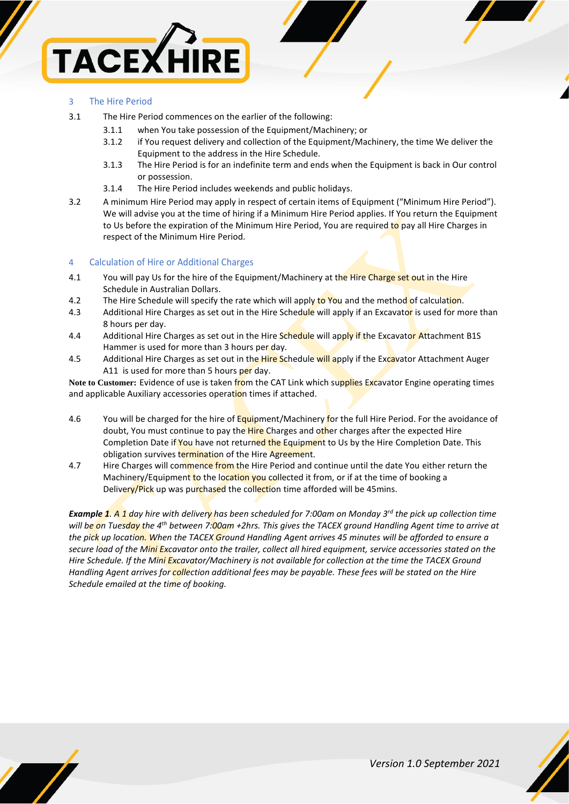

# 3 The Hire Period

- 3.1 The Hire Period commences on the earlier of the following:
	- 3.1.1 when You take possession of the Equipment/Machinery; or
	- 3.1.2 if You request delivery and collection of the Equipment/Machinery, the time We deliver the Equipment to the address in the Hire Schedule.
	- 3.1.3 The Hire Period is for an indefinite term and ends when the Equipment is back in Our control or possession.
	- 3.1.4 The Hire Period includes weekends and public holidays.
- 3.2 A minimum Hire Period may apply in respect of certain items of Equipment ("Minimum Hire Period"). We will advise you at the time of hiring if a Minimum Hire Period applies. If You return the Equipment to Us before the expiration of the Minimum Hire Period, You are required to pay all Hire Charges in respect of the Minimum Hire Period.

# 4 Calculation of Hire or Additional Charges

- 4.1 You will pay Us for the hire of the Equipment/Machinery at the Hire Charge set out in the Hire Schedule in Australian Dollars.
- 4.2 The Hire Schedule will specify the rate which will apply to You and the method of calculation.
- 4.3 Additional Hire Charges as set out in the Hire Schedule will apply if an Excavator is used for more than 8 hours per day.
- 4.4 Additional Hire Charges as set out in the Hire Schedule will apply if the Excavator Attachment B1S Hammer is used for more than 3 hours per day.
- 4.5 Additional Hire Charges as set out in the Hire Schedule will apply if the Excavator Attachment Auger A11 is used for more than 5 hours per day.

**Note to Customer:** Evidence of use is taken from the CAT Link which supplies Excavator Engine operating times and applicable Auxiliary accessories operation times if attached.

- 4.6 You will be charged for the hire of Equipment/Machinery for the full Hire Period. For the avoidance of doubt, You must continue to pay the Hire Charges and other charges after the expected Hire Completion Date if You have not returned the Equipment to Us by the Hire Completion Date. This obligation survives termination of the Hire Agreement.
- 4.7 Hire Charges will commence from the Hire Period and continue until the date You either return the Machinery/Equipment to the location you collected it from, or if at the time of booking a Delivery/Pick up was purchased the collection time afforded will be 45mins.

*Example 1. A 1 day hire with delivery has been scheduled for 7:00am on Monday 3rd the pick up collection time will be on Tuesday the 4th between 7:00am +2hrs. This gives the TACEX ground Handling Agent time to arrive at the pick up location. When the TACEX Ground Handling Agent arrives 45 minutes will be afforded to ensure a secure load of the Mini Excavator onto the trailer, collect all hired equipment, service accessories stated on the Hire Schedule. If the Mini Excavator/Machinery is not available for collection at the time the TACEX Ground Handling Agent arrives for collection additional fees may be payable. These fees will be stated on the Hire Schedule emailed at the time of booking.*



*Version 1.0 September 2021*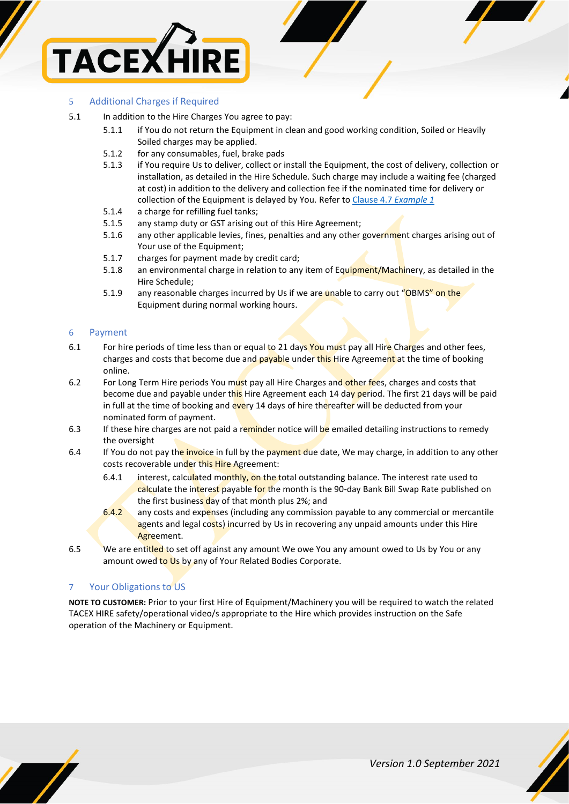

# 5 Additional Charges if Required

- 5.1 In addition to the Hire Charges You agree to pay:
	- 5.1.1 if You do not return the Equipment in clean and good working condition, Soiled or Heavily Soiled charges may be applied.
	- 5.1.2 for any consumables, fuel, brake pads
	- 5.1.3 if You require Us to deliver, collect or install the Equipment, the cost of delivery, collection or installation, as detailed in the Hire Schedule. Such charge may include a waiting fee (charged at cost) in addition to the delivery and collection fee if the nominated time for delivery or collection of the Equipment is delayed by You. Refer to Clause 4.7 *Example 1*
	- 5.1.4 a charge for refilling fuel tanks;
	- 5.1.5 any stamp duty or GST arising out of this Hire Agreement;
	- 5.1.6 any other applicable levies, fines, penalties and any other government charges arising out of Your use of the Equipment;
	- 5.1.7 charges for payment made by credit card;
	- 5.1.8 an environmental charge in relation to any item of Equipment/Machinery, as detailed in the Hire Schedule;
	- 5.1.9 any reasonable charges incurred by Us if we are unable to carry out "OBMS" on the Equipment during normal working hours.

### 6 Payment

- <span id="page-3-0"></span>6.1 For hire periods of time less than or equal to 21 days You must pay all Hire Charges and other fees, charges and costs that become due and payable under this Hire Agreement at the time of booking online.
- 6.2 For Long Term Hire periods You must pay all Hire Charges and other fees, charges and costs that become due and payable under this Hire Agreement each 14 day period. The first 21 days will be paid in full at the time of booking and every 14 days of hire thereafter will be deducted from your nominated form of payment.
- 6.3 If these hire charges are not paid a reminder notice will be emailed detailing instructions to remedy the oversight
- 6.4 If You do not pay the invoice in full by the payment due date, We may charge, in addition to any other costs recoverable under this Hire Agreement:
	- 6.4.1 interest, calculated monthly, on the total outstanding balance. The interest rate used to calculate the interest payable for the month is the 90-day Bank Bill Swap Rate published on the first business day of that month plus 2%; and
	- 6.4.2 any costs and expenses (including any commission payable to any commercial or mercantile agents and legal costs) incurred by Us in recovering any unpaid amounts under this Hire Agreement.
- 6.5 We are entitled to set off against any amount We owe You any amount owed to Us by You or any amount owed to Us by any of Your Related Bodies Corporate.

## 7 Your Obligations to US

**NOTE TO CUSTOMER:** Prior to your first Hire of Equipment/Machinery you will be required to watch the related TACEX HIRE safety/operational video/s appropriate to the Hire which provides instruction on the Safe operation of the Machinery or Equipment.



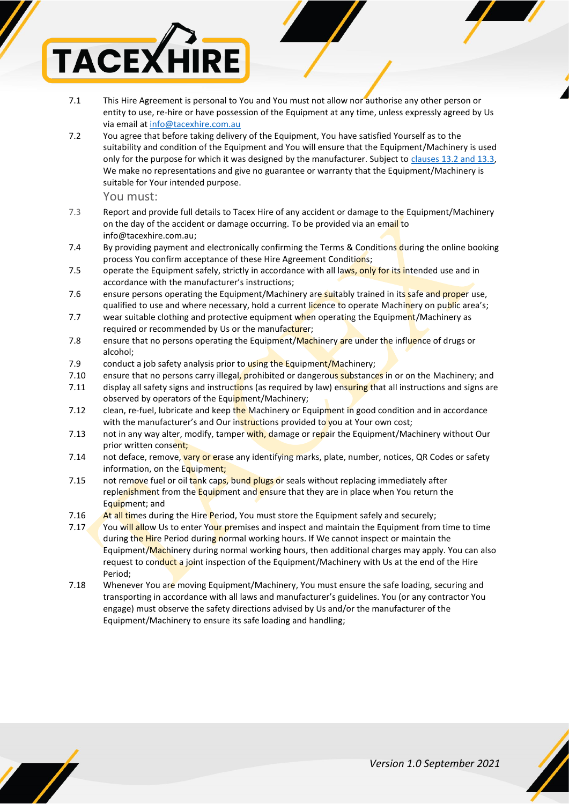

- 7.1 This Hire Agreement is personal to You and You must not allow nor authorise any other person or entity to use, re-hire or have possession of the Equipment at any time, unless expressly agreed by Us via email at [info@tacexhire.com.au](mailto:info@tacexhire.com.au)
- 7.2 You agree that before taking delivery of the Equipment, You have satisfied Yourself as to the suitability and condition of the Equipment and You will ensure that the Equipment/Machinery is used only for the purpose for which it was designed by the manufacturer. Subject to clauses 13.2 and 13.3, We make no representations and give no guarantee or warranty that the Equipment/Machinery is suitable for Your intended purpose.

You must:

- 7.3 Report and provide full details to Tacex Hire of any accident or damage to the Equipment/Machinery on the day of the accident or damage occurring. To be provided via an email to info@tacexhire.com.au;
- 7.4 By providing payment and electronically confirming the Terms & Conditions during the online booking process You confirm acceptance of these Hire Agreement Conditions;
- 7.5 operate the Equipment safely, strictly in accordance with all laws, only for its intended use and in accordance with the manufacturer's instructions;
- 7.6 ensure persons operating the Equipment/Machinery are suitably trained in its safe and proper use, qualified to use and where necessary, hold a current licence to operate Machinery on public area's;
- 7.7 wear suitable clothing and protective equipment when operating the Equipment/Machinery as required or recommended by Us or the manufacturer;
- 7.8 ensure that no persons operating the Equipment/Machinery are under the influence of drugs or alcohol;
- 7.9 conduct a job safety analysis prior to using the Equipment/Machinery;
- 7.10 ensure that no persons carry illegal, prohibited or dangerous substances in or on the Machinery; and
- 7.11 display all safety signs and instructions (as required by law) ensuring that all instructions and signs are observed by operators of the Equipment/Machinery;
- <span id="page-4-0"></span>7.12 clean, re-fuel, lubricate and keep the Machinery or Equipment in good condition and in accordance with the manufacturer's and Our instructions provided to you at Your own cost;
- 7.13 not in any way alter, modify, tamper with, damage or repair the Equipment/Machinery without Our prior written consent;
- 7.14 not deface, remove, vary or erase any identifying marks, plate, number, notices, QR Codes or safety information, on the Equipment;
- 7.15 not remove fuel or oil tank caps, bund plugs or seals without replacing immediately after replenishment from the Equipment and ensure that they are in place when You return the Equipment; and
- 7.16 At all times during the Hire Period, You must store the Equipment safely and securely;
- 7.17 You will allow Us to enter Your premises and inspect and maintain the Equipment from time to time during the Hire Period during normal working hours. If We cannot inspect or maintain the Equipment/Machinery during normal working hours, then additional charges may apply. You can also request to conduct a joint inspection of the Equipment/Machinery with Us at the end of the Hire Period;
- 7.18 Whenever You are moving Equipment/Machinery, You must ensure the safe loading, securing and transporting in accordance with all laws and manufacturer's guidelines. You (or any contractor You engage) must observe the safety directions advised by Us and/or the manufacturer of the Equipment/Machinery to ensure its safe loading and handling;



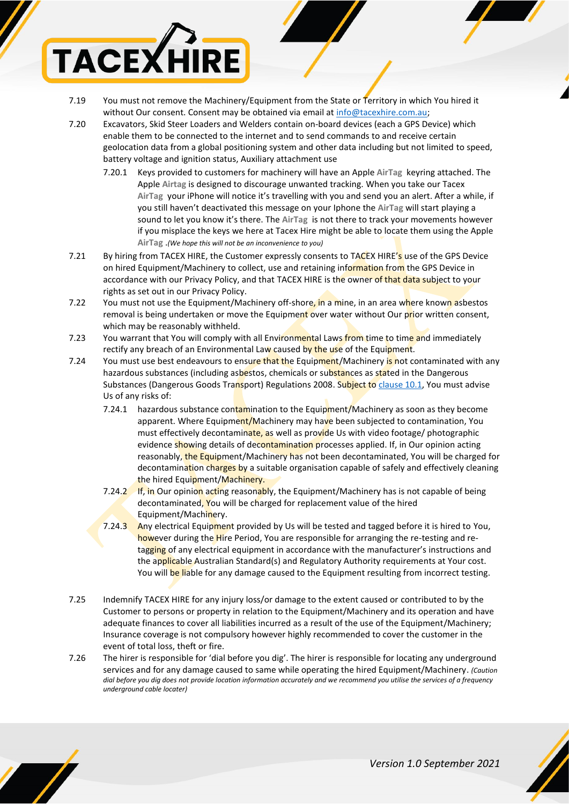

- 7.19 You must not remove the Machinery/Equipment from the State or Territory in which You hired it without Our consent. Consent may be obtained via email at [info@tacexhire.com.au;](mailto:info@tacexhire.com.au)
- 7.20 Excavators, Skid Steer Loaders and Welders contain on-board devices (each a GPS Device) which enable them to be connected to the internet and to send commands to and receive certain geolocation data from a global positioning system and other data including but not limited to speed, battery voltage and ignition status, Auxiliary attachment use
	- 7.20.1 Keys provided to customers for machinery will have an Apple **AirTag** keyring attached. The Apple **Airtag** is designed to discourage unwanted tracking. When you take our Tacex **AirTag** your iPhone will notice it's travelling with you and send you an alert. After a while, if you still haven't deactivated this message on your Iphone the **AirTag** will start playing a sound to let you know it's there. The **AirTag** is not there to track your movements however if you misplace the keys we here at Tacex Hire might be able to locate them using the Apple **AirTag** .*(We hope this will not be an inconvenience to you)*
- 7.21 By hiring from TACEX HIRE, the Customer expressly consents to TACEX HIRE's use of the GPS Device on hired Equipment/Machinery to collect, use and retaining information from the GPS Device in accordance with our Privacy Policy, and that TACEX HIRE is the owner of that data subject to your rights as set out in our Privacy Policy.
- 7.22 You must not use the Equipment/Machinery off-shore, in a mine, in an area where known asbestos removal is being undertaken or move the Equipment over water without Our prior written consent, which may be reasonably withheld.
- 7.23 You warrant that You will comply with all Environmental Laws from time to time and immediately rectify any breach of an Environmental Law caused by the use of the Equipment.
- 7.24 You must use best endeavours to ensure that the Equipment/Machinery is not contaminated with any hazardous substances (including asbestos, chemicals or substances as stated in the Dangerous Substances (Dangerous Goods Transport) Regulations 2008. Subject to [clause 10.1,](#page-6-0) You must advise Us of any risks of:
	- 7.24.1 hazardous substance contamination to the Equipment/Machinery as soon as they become apparent. Where Equipment/Machinery may have been subjected to contamination, You must effectively decontaminate, as well as provide Us with video footage/ photographic evidence showing details of decontamination processes applied. If, in Our opinion acting reasonably, the Equipment/Machinery has not been decontaminated, You will be charged for decontamination charges by a suitable organisation capable of safely and effectively cleaning the hired Equipment/Machinery.
	- 7.24.2 If, in Our opinion acting reasonably, the Equipment/Machinery has is not capable of being decontaminated, You will be charged for replacement value of the hired Equipment/Machinery.
	- 7.24.3 Any electrical Equipment provided by Us will be tested and tagged before it is hired to You, however during the Hire Period, You are responsible for arranging the re-testing and retagging of any electrical equipment in accordance with the manufacturer's instructions and the applicable Australian Standard(s) and Regulatory Authority requirements at Your cost. You will be liable for any damage caused to the Equipment resulting from incorrect testing.
- 7.25 Indemnify TACEX HIRE for any injury loss/or damage to the extent caused or contributed to by the Customer to persons or property in relation to the Equipment/Machinery and its operation and have adequate finances to cover all liabilities incurred as a result of the use of the Equipment/Machinery; Insurance coverage is not compulsory however highly recommended to cover the customer in the event of total loss, theft or fire.
- 7.26 The hirer is responsible for 'dial before you dig'. The hirer is responsible for locating any underground services and for any damage caused to same while operating the hired Equipment/Machinery. *(Caution dial before you dig does not provide location information accurately and we recommend you utilise the services of a frequency underground cable locater)*

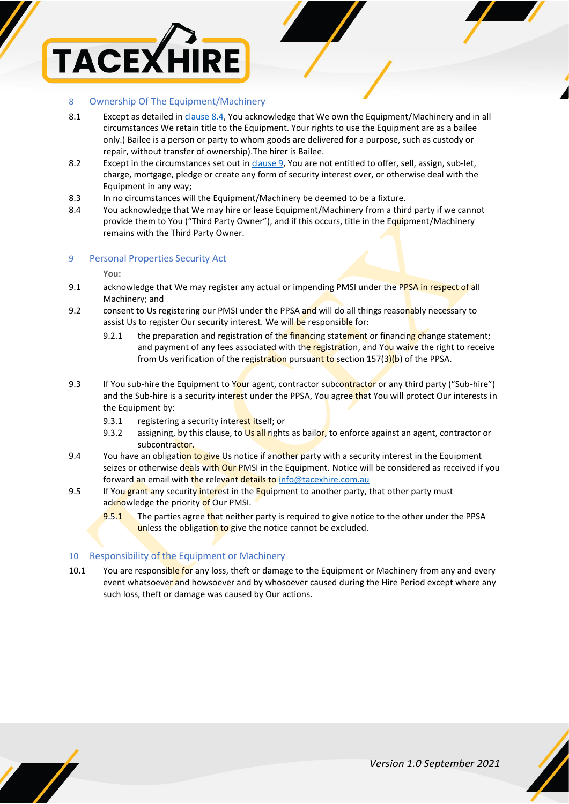

# 8 Ownership Of The Equipment/Machinery

- 8.1 Except as detailed i[n clause 8.4,](#page-6-1) You acknowledge that We own the Equipment/Machinery and in all circumstances We retain title to the Equipment. Your rights to use the Equipment are as a bailee only.( Bailee is a person or party to whom goods are delivered for a purpose, such as custody or repair, without transfer of ownership).The hirer is Bailee.
- 8.2 Except in the circumstances set out i[n clause 9,](#page-6-2) You are not entitled to offer, sell, assign, sub-let, charge, mortgage, pledge or create any form of security interest over, or otherwise deal with the Equipment in any way;
- 8.3 In no circumstances will the Equipment/Machinery be deemed to be a fixture.
- <span id="page-6-1"></span>8.4 You acknowledge that We may hire or lease Equipment/Machinery from a third party if we cannot provide them to You ("Third Party Owner"), and if this occurs, title in the Equipment/Machinery remains with the Third Party Owner.

### <span id="page-6-2"></span>9 Personal Properties Security Act

**You:**

- 9.1 acknowledge that We may register any actual or impending PMSI under the PPSA in respect of all Machinery; and
- 9.2 consent to Us registering our PMSI under the PPSA and will do all things reasonably necessary to assist Us to register Our security interest. We will be responsible for:
	- 9.2.1 the preparation and registration of the financing statement or financing change statement; and payment of any fees associated with the registration, and You waive the right to receive from Us verification of the registration pursuant to section 157(3)(b) of the PPSA.
- 9.3 If You sub-hire the Equipment to Your agent, contractor subcontractor or any third party ("Sub-hire") and the Sub-hire is a security interest under the PPSA, You agree that You will protect Our interests in the Equipment by:
	- 9.3.1 registering a security interest itself; or
	- 9.3.2 assigning, by this clause, to Us all rights as bailor, to enforce against an agent, contractor or subcontractor.
- 9.4 You have an obligation to give Us notice if another party with a security interest in the Equipment seizes or otherwise deals with Our PMSI in the Equipment. Notice will be considered as received if you forward an email with the relevant details t[o info@tacexhire.com.au](mailto:info@tacexhire.com.au)
- 9.5 If You grant any security interest in the Equipment to another party, that other party must acknowledge the priority of Our PMSI.
	- 9.5.1 The parties agree that neither party is required to give notice to the other under the PPSA unless the obligation to give the notice cannot be excluded.

## <span id="page-6-0"></span>10 Responsibility of the Equipment or Machinery

10.1 You are responsible for any loss, theft or damage to the Equipment or Machinery from any and every event whatsoever and howsoever and by whosoever caused during the Hire Period except where any such loss, theft or damage was caused by Our actions.

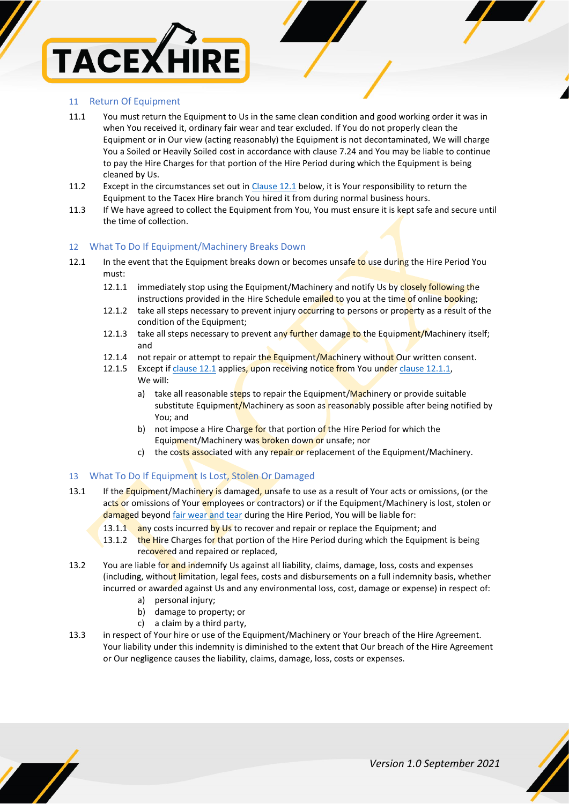# **TACEXH**

# <span id="page-7-0"></span>11 Return Of Equipment

- 11.1 You must return the Equipment to Us in the same clean condition and good working order it was in when You received it, ordinary fair wear and tear excluded. If You do not properly clean the Equipment or in Our view (acting reasonably) the Equipment is not decontaminated, We will charge You a Soiled or Heavily Soiled cost in accordance with clause 7.24 and You may be liable to continue to pay the Hire Charges for that portion of the Hire Period during which the Equipment is being cleaned by Us.
- 11.2 Except in the circumstances set out i[n Clause 12.1](#page-7-1) below, it is Your responsibility to return the Equipment to the Tacex Hire branch You hired it from during normal business hours.
- 11.3 If We have agreed to collect the Equipment from You, You must ensure it is kept safe and secure until the time of collection.

# 12 What To Do If Equipment/Machinery Breaks Down

- <span id="page-7-2"></span>12.1 In the event that the Equipment breaks down or becomes unsafe to use during the Hire Period You must:
	- 12.1.1 immediately stop using the Equipment/Machinery and notify Us by closely following the instructions provided in the Hire Schedule emailed to you at the time of online booking;
	- 12.1.2 take all steps necessary to prevent injury occurring to persons or property as a result of the condition of the Equipment:
	- 12.1.3 take all steps necessary to prevent any further damage to the Equipment/Machinery itself; and
	- 12.1.4 not repair or attempt to repair the Equipment/Machinery without Our written consent.
	- 12.1.5 Except if [clause 12.1](#page-7-2) applies, upon receiving notice from You under clause 12.1.1, We will:
		- a) take all reasonable steps to repair the Equipment/Machinery or provide suitable substitute Equipment/Machinery as soon as reasonably possible after being notified by You; and
		- b) not impose a Hire Charge for that portion of the Hire Period for which the Equipment/Machinery was broken down or unsafe; nor
		- c) the costs associated with any repair or replacement of the Equipment/Machinery.

# <span id="page-7-1"></span>13 What To Do If Equipment Is Lost, Stolen Or Damaged

- 13.1 If the Equipment/Machinery is damaged, unsafe to use as a result of Your acts or omissions, (or the acts or omissions of Your employees or contractors) or if the Equipment/Machinery is lost, stolen or damaged beyond [fair wear and tear](https://www.workplacecompliance.com.au/fair-wear-and-tear-training) during the Hire Period, You will be liable for:
	- 13.1.1 any costs incurred by Us to recover and repair or replace the Equipment; and
	- 13.1.2 the Hire Charges for that portion of the Hire Period during which the Equipment is being recovered and repaired or replaced,
- 13.2 You are liable for and indemnify Us against all liability, claims, damage, loss, costs and expenses (including, without limitation, legal fees, costs and disbursements on a full indemnity basis, whether incurred or awarded against Us and any environmental loss, cost, damage or expense) in respect of:
	- a) personal injury;
	- b) damage to property; or
	- c) a claim by a third party,
- 13.3 in respect of Your hire or use of the Equipment/Machinery or Your breach of the Hire Agreement. Your liability under this indemnity is diminished to the extent that Our breach of the Hire Agreement or Our negligence causes the liability, claims, damage, loss, costs or expenses.

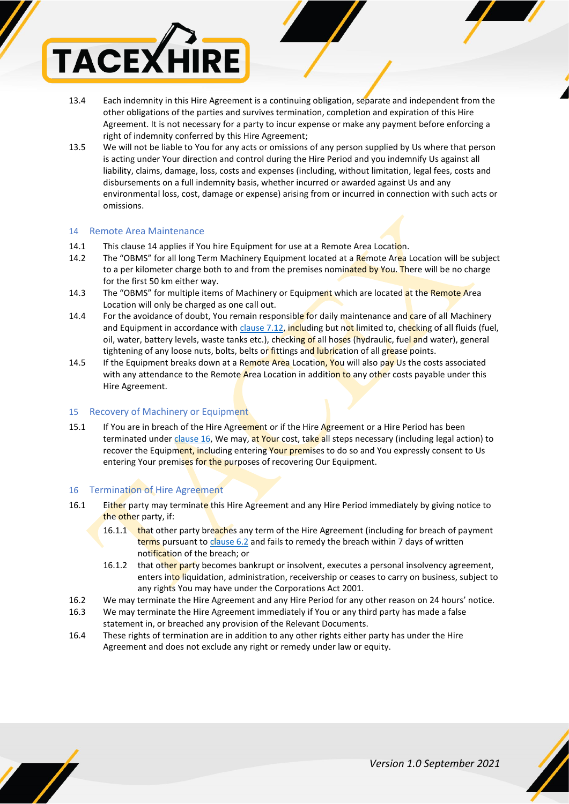

- 13.4 Each indemnity in this Hire Agreement is a continuing obligation, separate and independent from the other obligations of the parties and survives termination, completion and expiration of this Hire Agreement. It is not necessary for a party to incur expense or make any payment before enforcing a right of indemnity conferred by this Hire Agreement;
- 13.5 We will not be liable to You for any acts or omissions of any person supplied by Us where that person is acting under Your direction and control during the Hire Period and you indemnify Us against all liability, claims, damage, loss, costs and expenses (including, without limitation, legal fees, costs and disbursements on a full indemnity basis, whether incurred or awarded against Us and any environmental loss, cost, damage or expense) arising from or incurred in connection with such acts or omissions.

# 14 Remote Area Maintenance

- 14.1 This clause 14 applies if You hire Equipment for use at a Remote Area Location.
- 14.2 The "OBMS" for all long Term Machinery Equipment located at a Remote Area Location will be subject to a per kilometer charge both to and from the premises nominated by You. There will be no charge for the first 50 km either way.
- 14.3 The "OBMS" for multiple items of Machinery or Equipment which are located at the Remote Area Location will only be charged as one call out.
- 14.4 For the avoidance of doubt, You remain responsible for daily maintenance and care of all Machinery and Equipment in accordance with [clause 7.12,](#page-4-0) including but not limited to, checking of all fluids (fuel, oil, water, battery levels, waste tanks etc.), checking of all hoses (hydraulic, fuel and water), general tightening of any loose nuts, bolts, belts or fittings and lubrication of all grease points.
- 14.5 If the Equipment breaks down at a Remote Area Location, You will also pay Us the costs associated with any attendance to the Remote Area Location in addition to any other costs payable under this Hire Agreement.

# 15 Recovery of Machinery or Equipment

15.1 If You are in breach of the Hire Agreement or if the Hire Agreement or a Hire Period has been terminated unde[r clause 16,](#page-8-0) We may, at Your cost, take all steps necessary (including legal action) to recover the Equipment, including entering Your premises to do so and You expressly consent to Us entering Your premises for the purposes of recovering Our Equipment.

## <span id="page-8-0"></span>16 Termination of Hire Agreement

- 16.1 Either party may terminate this Hire Agreement and any Hire Period immediately by giving notice to the other party, if:
	- 16.1.1 that other party breaches any term of the Hire Agreement (including for breach of payment terms pursuant t[o clause 6.2](#page-3-0) and fails to remedy the breach within 7 days of written notification of the breach; or
	- 16.1.2 that other party becomes bankrupt or insolvent, executes a personal insolvency agreement, enters into liquidation, administration, receivership or ceases to carry on business, subject to any rights You may have under the Corporations Act 2001.
- 16.2 We may terminate the Hire Agreement and any Hire Period for any other reason on 24 hours' notice.
- 16.3 We may terminate the Hire Agreement immediately if You or any third party has made a false statement in, or breached any provision of the Relevant Documents.
- 16.4 These rights of termination are in addition to any other rights either party has under the Hire Agreement and does not exclude any right or remedy under law or equity.



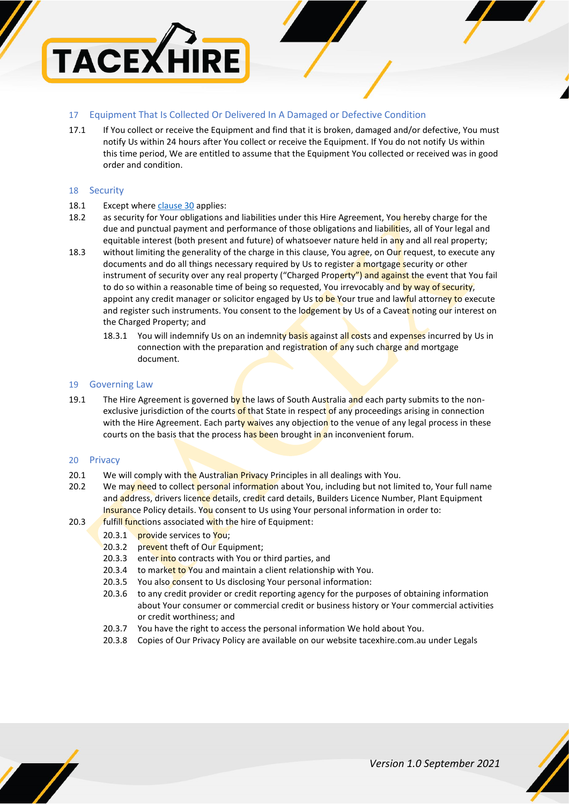

# 17 Equipment That Is Collected Or Delivered In A Damaged or Defective Condition

17.1 If You collect or receive the Equipment and find that it is broken, damaged and/or defective, You must notify Us within 24 hours after You collect or receive the Equipment. If You do not notify Us within this time period, We are entitled to assume that the Equipment You collected or received was in good order and condition.

### 18 Security

### 18.1 Except where [clause 30](#page-11-0) applies:

- 18.2 as security for Your obligations and liabilities under this Hire Agreement, You hereby charge for the due and punctual payment and performance of those obligations and liabilities, all of Your legal and equitable interest (both present and future) of whatsoever nature held in any and all real property;
- 18.3 without limiting the generality of the charge in this clause, You agree, on Our request, to execute any documents and do all things necessary required by Us to register a mortgage security or other instrument of security over any real property ("Charged Property") and against the event that You fail to do so within a reasonable time of being so requested, You irrevocably and by way of security, appoint any credit manager or solicitor engaged by Us to be Your true and lawful attorney to execute and register such instruments. You consent to the lodgement by Us of a Caveat noting our interest on the Charged Property; and
	- 18.3.1 You will indemnify Us on an indemnity basis against all costs and expenses incurred by Us in connection with the preparation and registration of any such charge and mortgage document.

### 19 Governing Law

19.1 The Hire Agreement is governed by the laws of South Australia and each party submits to the nonexclusive jurisdiction of the courts of that State in respect of any proceedings arising in connection with the Hire Agreement. Each party waives any objection to the venue of any legal process in these courts on the basis that the process has been brought in an inconvenient forum.

### 20 Privacy

- 20.1 We will comply with the Australian Privacy Principles in all dealings with You.
- 20.2 We may need to collect personal information about You, including but not limited to, Your full name and address, drivers licence details, credit card details, Builders Licence Number, Plant Equipment Insurance Policy details. You consent to Us using Your personal information in order to:
- 20.3 **fulfill functions associated with the hire of Equipment:** 
	- 20.3.1 provide services to You;
	- 20.3.2 prevent theft of Our Equipment;
	- 20.3.3 enter into contracts with You or third parties, and
	- 20.3.4 to market to You and maintain a client relationship with You.
	- 20.3.5 You also consent to Us disclosing Your personal information:
	- 20.3.6 to any credit provider or credit reporting agency for the purposes of obtaining information about Your consumer or commercial credit or business history or Your commercial activities or credit worthiness; and
	- 20.3.7 You have the right to access the personal information We hold about You.
	- 20.3.8 Copies of Our Privacy Policy are available on our website tacexhire.com.au under Legals

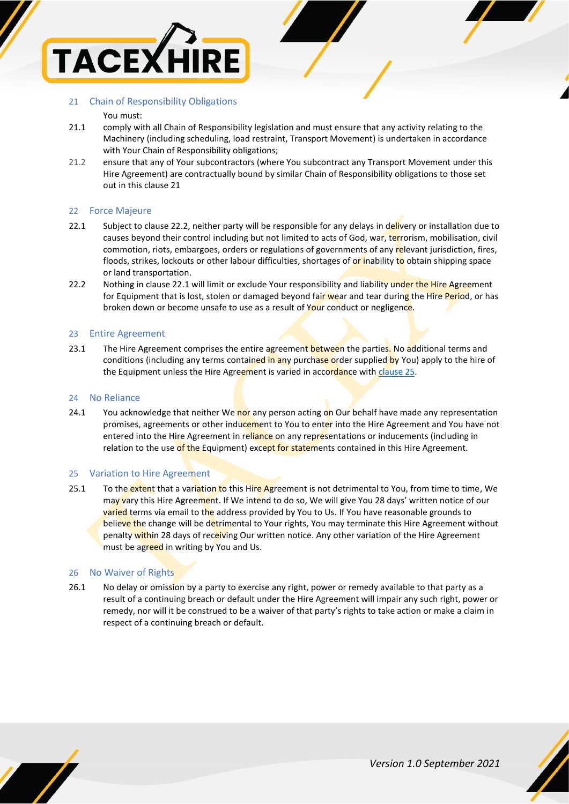

### 21 Chain of Responsibility Obligations

### You must:

- 21.1 comply with all Chain of Responsibility legislation and must ensure that any activity relating to the Machinery (including scheduling, load restraint, Transport Movement) is undertaken in accordance with Your Chain of Responsibility obligations;
- 21.2 ensure that any of Your subcontractors (where You subcontract any Transport Movement under this Hire Agreement) are contractually bound by similar Chain of Responsibility obligations to those set out in this clause 21

### 22 Force Majeure

- 22.1 Subject to clause 22.2, neither party will be responsible for any delays in delivery or installation due to causes beyond their control including but not limited to acts of God, war, terrorism, mobilisation, civil commotion, riots, embargoes, orders or regulations of governments of any relevant jurisdiction, fires, floods, strikes, lockouts or other labour difficulties, shortages of or inability to obtain shipping space or land transportation.
- 22.2 Nothing in clause 22.1 will limit or exclude Your responsibility and liability under the Hire Agreement for Equipment that is lost, stolen or damaged beyond fair wear and tear during the Hire Period, or has broken down or become unsafe to use as a result of Your conduct or negligence.

### 23 Entire Agreement

23.1 The Hire Agreement comprises the entire agreement between the parties. No additional terms and conditions (including any terms contained in any purchase order supplied by You) apply to the hire of the Equipment unless the Hire Agreement is varied in accordance with [clause 25.](#page-10-0)

### 24 No Reliance

24.1 You acknowledge that neither We nor any person acting on Our behalf have made any representation promises, agreements or other inducement to You to enter into the Hire Agreement and You have not entered into the Hire Agreement in reliance on any representations or inducements (including in relation to the use of the Equipment) except for statements contained in this Hire Agreement.

### <span id="page-10-0"></span>25 Variation to Hire Agreement

25.1 To the extent that a variation to this Hire Agreement is not detrimental to You, from time to time, We may vary this Hire Agreement. If We intend to do so, We will give You 28 days' written notice of our varied terms via email to the address provided by You to Us. If You have reasonable grounds to believe the change will be detrimental to Your rights, You may terminate this Hire Agreement without penalty within 28 days of receiving Our written notice. Any other variation of the Hire Agreement must be agreed in writing by You and Us.

### 26 No Waiver of Rights

26.1 No delay or omission by a party to exercise any right, power or remedy available to that party as a result of a continuing breach or default under the Hire Agreement will impair any such right, power or remedy, nor will it be construed to be a waiver of that party's rights to take action or make a claim in respect of a continuing breach or default.



*Version 1.0 September 2021*